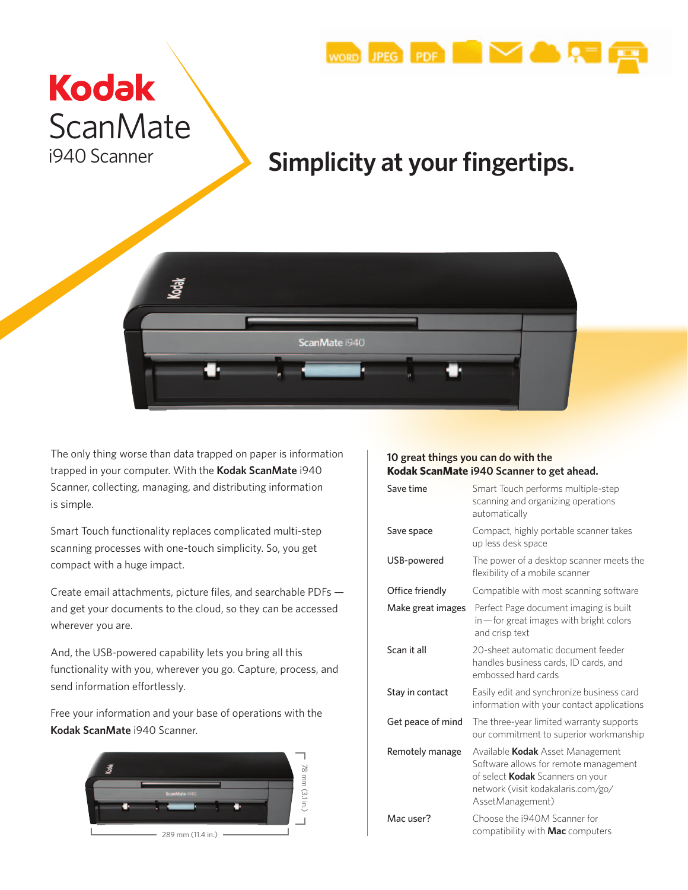

# **Kodak ScanMate** i940 Scanner

## **Simplicity at your fingertips.**



The only thing worse than data trapped on paper is information trapped in your computer. With the **Kodak ScanMate** i940 Scanner, collecting, managing, and distributing information is simple.

Smart Touch functionality replaces complicated multi-step scanning processes with one-touch simplicity. So, you get compact with a huge impact.

Create email attachments, picture files, and searchable PDFs and get your documents to the cloud, so they can be accessed wherever you are.

And, the USB-powered capability lets you bring all this functionality with you, wherever you go. Capture, process, and send information effortlessly.

Free your information and your base of operations with the **Kodak ScanMate** i940 Scanner.



## **10 great things you can do with the Kodak ScanMate i940 Scanner to get ahead.**

| Save time         | Smart Touch performs multiple-step<br>scanning and organizing operations<br>automatically                                                                                             |  |
|-------------------|---------------------------------------------------------------------------------------------------------------------------------------------------------------------------------------|--|
| Save space        | Compact, highly portable scanner takes<br>up less desk space                                                                                                                          |  |
| USB-powered       | The power of a desktop scanner meets the<br>flexibility of a mobile scanner                                                                                                           |  |
| Office friendly   | Compatible with most scanning software                                                                                                                                                |  |
| Make great images | Perfect Page document imaging is built<br>in-for great images with bright colors<br>and crisp text                                                                                    |  |
| Scan it all       | 20-sheet automatic document feeder<br>handles business cards, ID cards, and<br>embossed hard cards                                                                                    |  |
| Stay in contact   | Easily edit and synchronize business card<br>information with your contact applications                                                                                               |  |
| Get peace of mind | The three-year limited warranty supports<br>our commitment to superior workmanship                                                                                                    |  |
| Remotely manage   | Available <b>Kodak</b> Asset Management<br>Software allows for remote management<br>of select <b>Kodak</b> Scanners on your<br>network (visit kodakalaris.com/go/<br>AssetManagement) |  |
| Mac user?         | Choose the i940M Scanner for<br>compatibility with <b>Mac</b> computers                                                                                                               |  |